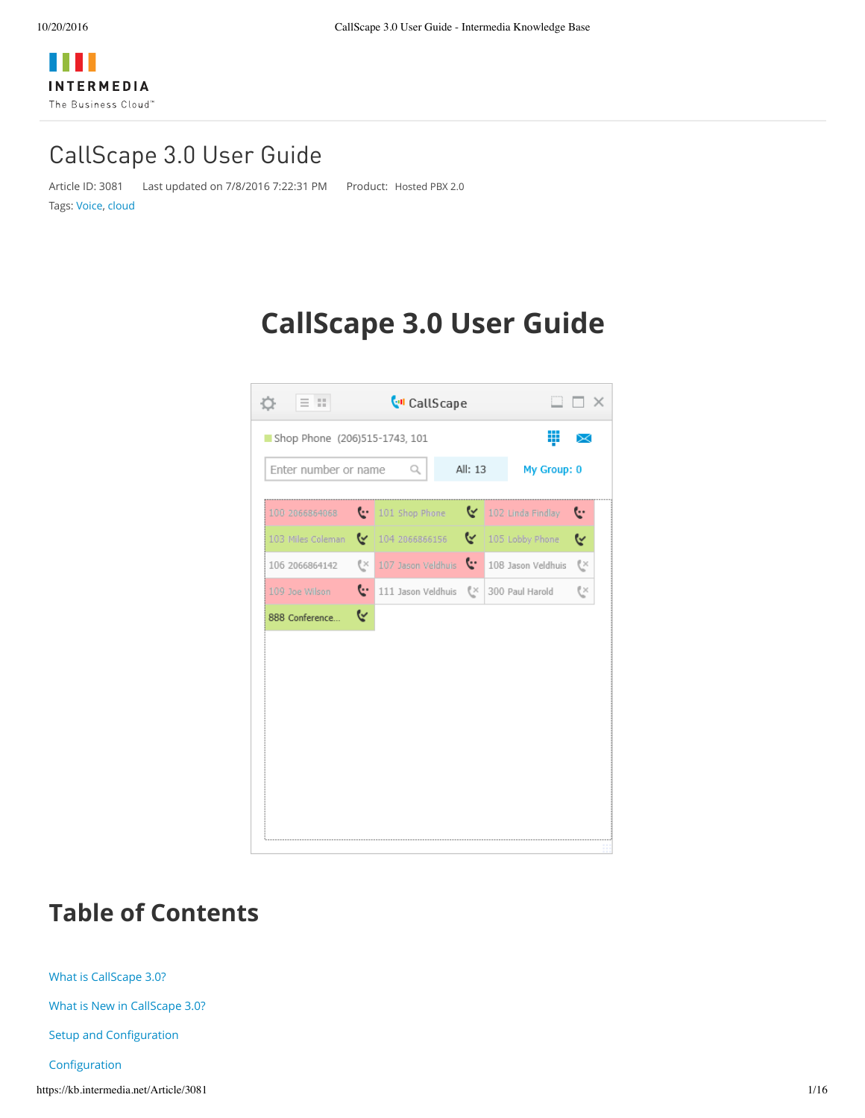# CallScape 3.0 User Guide

Article ID: 3081 Last updated on 7/8/2016 7:22:31 PM Product: [Hosted](https://kb.intermedia.net/search/?query=product%3d%22Hosted+PBX+2.0%22) PBX 2.0

Tags: [Voice,](https://kb.intermedia.net/search/?query=tag%3d%22Voice%22) [cloud](https://kb.intermedia.net/search/?query=tag%3d%22cloud%22)

# **CallScape 3.0 User Guide**

| Enter number or name |    | Q                  | All: 13 | My Group: 0        |    |
|----------------------|----|--------------------|---------|--------------------|----|
| 100 2066864068       |    | to 101 Shop Phone  |         | 102 Linda Findlay  | Ŀ  |
| 103 Miles Coleman    | ∾  | 104 2066866156     | ⊵       | 105 Lobby Phone    | ૯  |
| 106 2066864142       | G× | 107 Jason Veldhuis | Ŀ.      | 108 Jason Veldhuis | C× |
| 109 Joe Wilson       | G. | 111 Jason Veldhuis | €≍      | 300 Paul Harold    | G× |
|                      |    |                    |         |                    |    |

# **Table of Contents**

What is [CallScape](https://kb.intermedia.net/Article/3081##_Toc401314096) 3.0?

What is New in [CallScape](https://kb.intermedia.net/Article/3081##_Toc401314097) 3.0?

Setup and [Configuration](https://kb.intermedia.net/Article/3081##_Toc401314098)

[Configuration](https://kb.intermedia.net/Article/3081##_Toc401314099)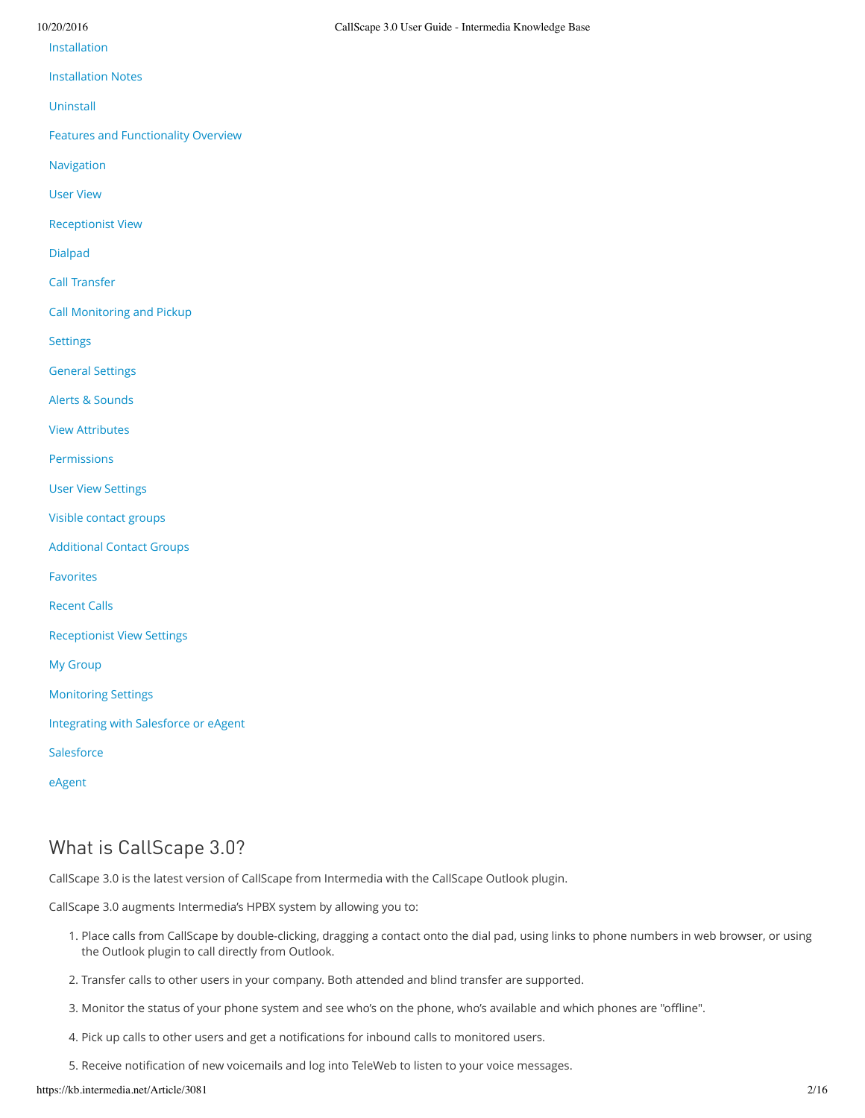#### [Installation](https://kb.intermedia.net/Article/3081##_Toc401314100)

[Installation](https://kb.intermedia.net/Article/3081##_Toc401314101) Notes

[Uninstall](https://kb.intermedia.net/Article/3081##_Toc401314102)

Features and [Functionality](https://kb.intermedia.net/Article/3081##_Toc401314103) Overview

[Navigation](https://kb.intermedia.net/Article/3081##_Toc401314104)

User [View](https://kb.intermedia.net/Article/3081##_Toc401314105)

[Receptionist](https://kb.intermedia.net/Article/3081##_Toc401314106) View

[Dialpad](https://kb.intermedia.net/Article/3081##_Toc401314107)

Call [Transfer](https://kb.intermedia.net/Article/3081##C)

Call [Monitoring](https://kb.intermedia.net/Article/3081##Ca) and Pickup

**[Settings](https://kb.intermedia.net/Article/3081##_Toc401314108)** 

General [Settings](https://kb.intermedia.net/Article/3081##_Toc401314109)

Alerts & [Sounds](https://kb.intermedia.net/Article/3081##_Toc401314110)

View [Attributes](https://kb.intermedia.net/Article/3081##_Toc401314111)

[Permissions](https://kb.intermedia.net/Article/3081##_Toc401314112)

User View [Settings](https://kb.intermedia.net/Article/3081##_Toc401314113)

Visible [contact](https://kb.intermedia.net/Article/3081##_Toc401314114) groups

[Additional](https://kb.intermedia.net/Article/3081##_Toc401314115) Contact Groups

[Favorites](https://kb.intermedia.net/Article/3081##_Toc401314116)

[Recent](https://kb.intermedia.net/Article/3081##_Toc401314117) Calls

[Receptionist](https://kb.intermedia.net/Article/3081##_Toc401314118) View Settings

My [Group](https://kb.intermedia.net/Article/3081##_Toc401314119)

[Monitoring](https://kb.intermedia.net/Article/3081##M) Settings

[Integrating](https://kb.intermedia.net/Article/3081##_Toc401314120) with Salesforce or eAgent

**[Salesforce](https://kb.intermedia.net/Article/3081##_Toc401314121)** 

[eAgent](https://kb.intermedia.net/Article/3081##_Toc401314122)

## What is CallScape 3.0?

CallScape 3.0 is the latest version of CallScape from Intermedia with the CallScape Outlook plugin.

CallScape 3.0 augments Intermedia's HPBX system by allowing you to:

- 1. Place calls from CallScape by double-clicking, dragging a contact onto the dial pad, using links to phone numbers in web browser, or using the Outlook plugin to call directly from Outlook.
- 2. Transfer calls to other users in your company. Both attended and blind transfer are supported.
- 3. Monitor the status of your phone system and see who's on the phone, who's available and which phones are "offline".
- 4. Pick up calls to other users and get a notifications for inbound calls to monitored users.
- 5. Receive notification of new voicemails and log into TeleWeb to listen to your voice messages.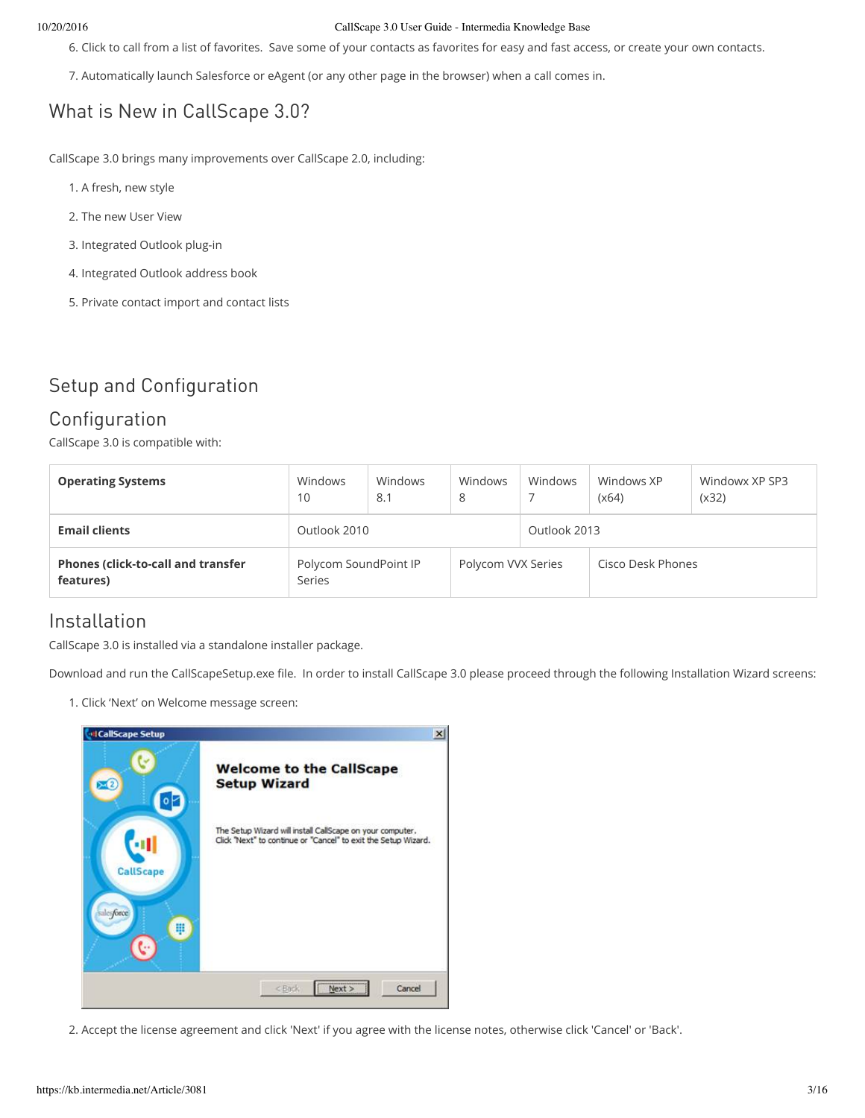#### 10/20/2016 CallScape 3.0 User Guide - Intermedia Knowledge Base

6. Click to call from a list of favorites. Save some of your contacts as favorites for easy and fast access, or create your own contacts.

7. Automatically launch Salesforce or eAgent (or any other page in the browser) when a call comes in.

## What is New in CallScape 3.0?

CallScape 3.0 brings many improvements over CallScape 2.0, including:

- 1. A fresh, new style
- 2. The new User View
- 3. Integrated Outlook plug-in
- 4. Integrated Outlook address book
- 5. Private contact import and contact lists

## Setup and Configuration

### Configuration

CallScape 3.0 is compatible with:

| <b>Operating Systems</b>                               | Windows<br>10                   | Windows<br>8.1 | Windows<br>8       | Windows      | Windows XP<br>(x64) | Windowx XP SP3<br>(x32) |  |
|--------------------------------------------------------|---------------------------------|----------------|--------------------|--------------|---------------------|-------------------------|--|
| <b>Email clients</b>                                   | Outlook 2010                    |                |                    | Outlook 2013 |                     |                         |  |
| <b>Phones (click-to-call and transfer</b><br>features) | Polycom SoundPoint IP<br>Series |                | Polycom VVX Series |              | Cisco Desk Phones   |                         |  |

### Installation

CallScape 3.0 is installed via a standalone installer package.

Download and run the CallScapeSetup.exe file. In order to install CallScape 3.0 please proceed through the following Installation Wizard screens:

1. Click 'Next' on Welcome message screen:



2. Accept the license agreement and click 'Next' if you agree with the license notes, otherwise click 'Cancel' or 'Back'.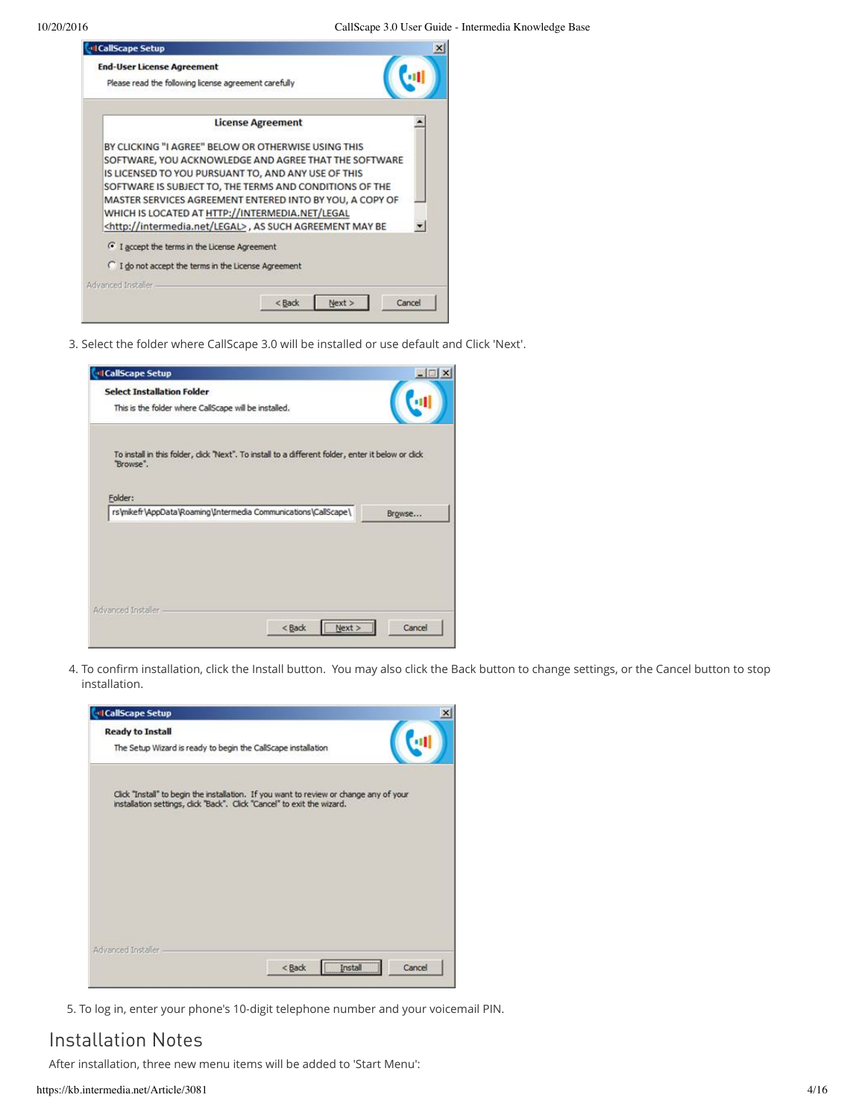| <b>CollScape Setup</b>                                               |                          |        |
|----------------------------------------------------------------------|--------------------------|--------|
| <b>End-User License Agreement</b>                                    |                          |        |
| Please read the following license agreement carefully                |                          |        |
|                                                                      | <b>License Agreement</b> |        |
| BY CLICKING "I AGREE" BELOW OR OTHERWISE USING THIS                  |                          |        |
| SOFTWARE, YOU ACKNOWLEDGE AND AGREE THAT THE SOFTWARE                |                          |        |
| IS LICENSED TO YOU PURSUANT TO, AND ANY USE OF THIS                  |                          |        |
| SOFTWARE IS SUBJECT TO, THE TERMS AND CONDITIONS OF THE              |                          |        |
| MASTER SERVICES AGREEMENT ENTERED INTO BY YOU, A COPY OF             |                          |        |
| WHICH IS LOCATED AT HTTP://INTERMEDIA.NET/LEGAL                      |                          |        |
| <http: intermedia.net="" legal="">, AS SUCH AGREEMENT MAY BE</http:> |                          |        |
| <sup>6</sup> I accept the terms in the License Agreement             |                          |        |
| I do not accept the terms in the License Agreement                   |                          |        |
|                                                                      |                          |        |
| Advanced Installer                                                   |                          |        |
|                                                                      | Next :<br>< Back         | Cancel |

3. Select the folder where CallScape 3.0 will be installed or use default and Click 'Next'.

| <b>CallScape Setup</b>                                                                                           | <b>A</b> O |
|------------------------------------------------------------------------------------------------------------------|------------|
| <b>Select Installation Folder</b>                                                                                |            |
| This is the folder where CallScape will be installed.                                                            |            |
| To install in this folder, click 'Next''. To install to a different folder, enter it below or click<br>"Browse". |            |
| Folder:                                                                                                          |            |
| rs\mikefr\AppData\Roaming\Intermedia Communications\CallScape\                                                   | Browse     |
|                                                                                                                  |            |
|                                                                                                                  |            |
|                                                                                                                  |            |
|                                                                                                                  |            |
| Advanced Installer-                                                                                              |            |

4. To confirm installation, click the Install button. You may also click the Back button to change settings, or the Cancel button to stop installation.

| <b>Ready to Install</b> |                                                                                                                                                                  |  |
|-------------------------|------------------------------------------------------------------------------------------------------------------------------------------------------------------|--|
|                         | The Setup Wizard is ready to begin the CallScape installation                                                                                                    |  |
|                         | Click "Install" to begin the installation. If you want to review or change any of your<br>installation settings, dick "Back". Click "Cancel" to exit the wizard. |  |
|                         |                                                                                                                                                                  |  |
|                         |                                                                                                                                                                  |  |
|                         |                                                                                                                                                                  |  |
| Advanced Installer      |                                                                                                                                                                  |  |

5. To log in, enter your phone's 10-digit telephone number and your voicemail PIN.

### Installation Notes

After installation, three new menu items will be added to 'Start Menu':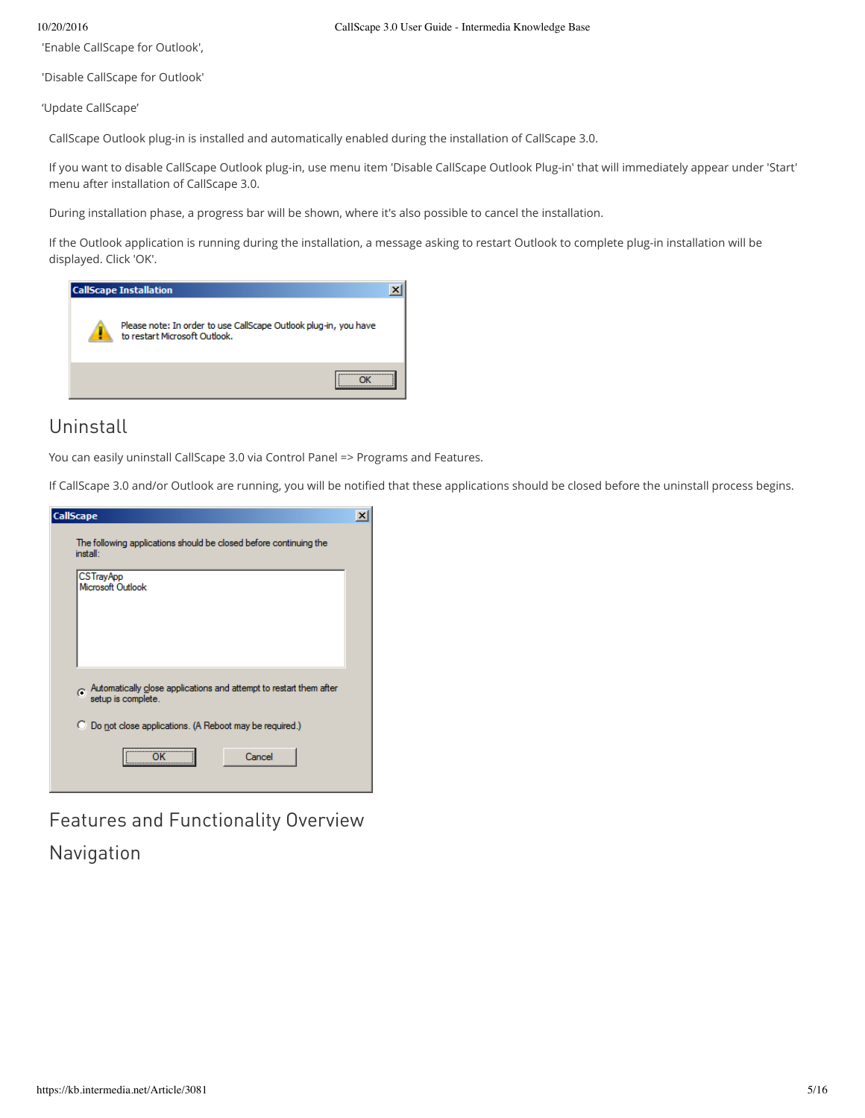'Enable CallScape for Outlook',

'Disable CallScape for Outlook'

'Update CallScape'

CallScape Outlook plug-in is installed and automatically enabled during the installation of CallScape 3.0.

If you want to disable CallScape Outlook plug-in, use menu item 'Disable CallScape Outlook Plug-in' that will immediately appear under 'Start' menu after installation of CallScape 3.0.

During installation phase, a progress bar will be shown, where it's also possible to cancel the installation.

If the Outlook application is running during the installation, a message asking to restart Outlook to complete plug-in installation will be displayed. Click 'OK'.



## Uninstall

You can easily uninstall CallScape 3.0 via Control Panel => Programs and Features.

If CallScape 3.0 and/or Outlook are running, you will be notified that these applications should be closed before the uninstall process begins.

| <b>CallScape</b>                                                                                                                                              | × |
|---------------------------------------------------------------------------------------------------------------------------------------------------------------|---|
| The following applications should be closed before continuing the<br>install:                                                                                 |   |
| <b>CSTrayApp</b><br>Microsoft Outlook                                                                                                                         |   |
| $\sigma$ Automatically close applications and attempt to restart them after<br>setup is complete.<br>C Do not close applications. (A Reboot may be required.) |   |
| <br>Cancel                                                                                                                                                    |   |

Features and Functionality Overview

Navigation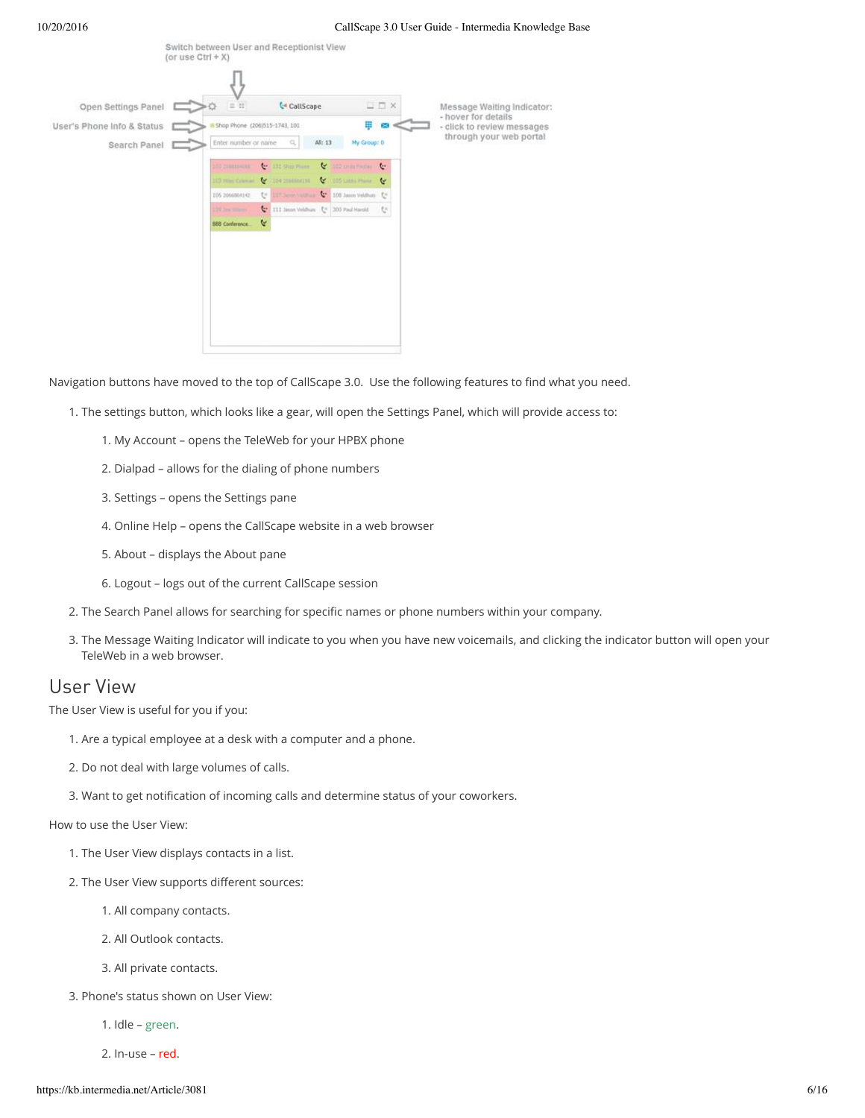| Open Settings Panel          | $= 11$                        |                                                 | <b>C</b> d CallScape | $\Box$ $\Box$ $\times$                  | Message Waiting Indicator:<br>- hover for details |
|------------------------------|-------------------------------|-------------------------------------------------|----------------------|-----------------------------------------|---------------------------------------------------|
| User's Phone Info & Status E | Shop Phone (206)515-1743, 101 |                                                 |                      | 罬<br>64                                 | - click to review messages                        |
| Search Panel                 | Enter number or name          | a,                                              | All: 13              | My Group: 0                             | through your web portal                           |
|                              | 100 210111-018                | <b>Companies</b>                                | <b>V</b>             | 102 printfields<br>$\epsilon$           |                                                   |
|                              | 103 Niet Course               | <b>MARKET BULLET</b>                            |                      | V ISLAND PORT V                         |                                                   |
|                              | 106 2066864142                |                                                 |                      | te uur boorischus C. 100 isse Veldoo te |                                                   |
|                              | 199 Sea month                 | <b>C</b> * ITI Jason Veldhus [* 300 Paul Harold |                      | ts.                                     |                                                   |
|                              | <b>BBB Conference</b>         | Y                                               |                      |                                         |                                                   |
|                              |                               |                                                 |                      |                                         |                                                   |
|                              |                               |                                                 |                      |                                         |                                                   |
|                              |                               |                                                 |                      |                                         |                                                   |
|                              |                               |                                                 |                      |                                         |                                                   |
|                              |                               |                                                 |                      |                                         |                                                   |

Navigation buttons have moved to the top of CallScape 3.0. Use the following features to find what you need.

- 1. The settings button, which looks like a gear, will open the Settings Panel, which will provide access to:
	- 1. My Account opens the TeleWeb for your HPBX phone
	- 2. Dialpad allows for the dialing of phone numbers
	- 3. Settings opens the Settings pane
	- 4. Online Help opens the CallScape website in a web browser
	- 5. About displays the About pane
	- 6. Logout logs out of the current CallScape session
- 2. The Search Panel allows for searching for specific names or phone numbers within your company.
- 3. The Message Waiting Indicator will indicate to you when you have new voicemails, and clicking the indicator button will open your TeleWeb in a web browser.

### User View

The User View is useful for you if you:

- 1. Are a typical employee at a desk with a computer and a phone.
- 2. Do not deal with large volumes of calls.
- 3. Want to get notification of incoming calls and determine status of your coworkers.

How to use the User View:

- 1. The User View displays contacts in a list.
- 2. The User View supports different sources:
	- 1. All company contacts.
	- 2. All Outlook contacts.
	- 3. All private contacts.
- 3. Phone's status shown on User View:
	- 1. Idle green.
	- 2. In-use red.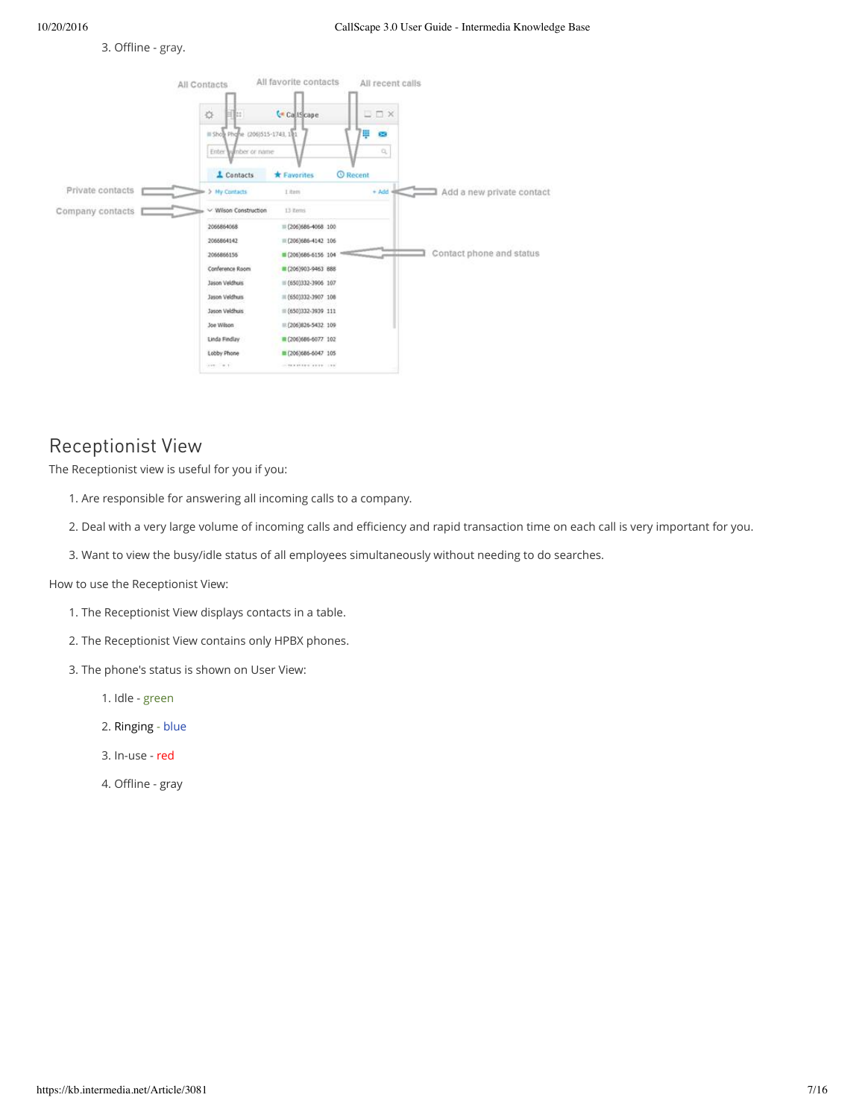#### 3. Offline - gray.



## Receptionist View

The Receptionist view is useful for you if you:

- 1. Are responsible for answering all incoming calls to a company.
- 2. Deal with a very large volume of incoming calls and efficiency and rapid transaction time on each call is very important for you.
- 3. Want to view the busy/idle status of all employees simultaneously without needing to do searches.

How to use the Receptionist View:

- 1. The Receptionist View displays contacts in a table.
- 2. The Receptionist View contains only HPBX phones.
- 3. The phone's status is shown on User View:
	- 1. Idle green
	- 2. Ringing blue
	- 3. In-use red
	- 4. Offline gray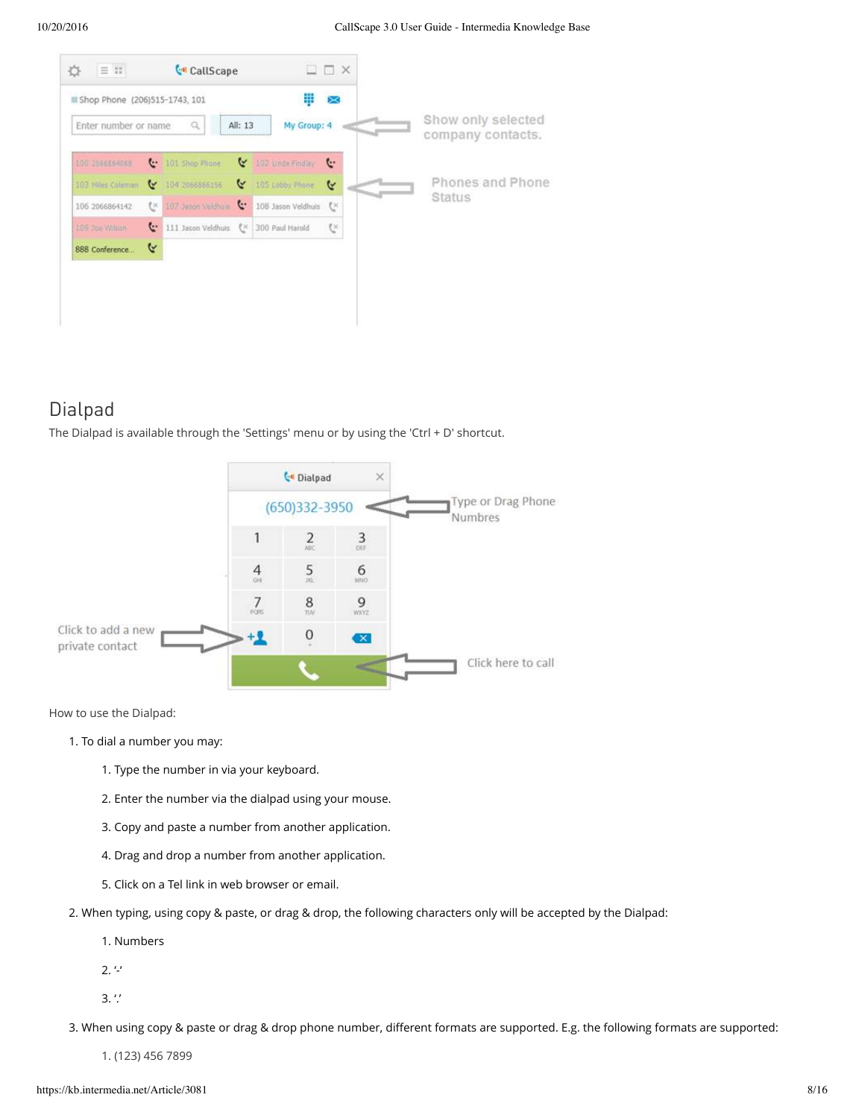

## Dialpad

The Dialpad is available through the 'Settings' menu or by using the 'Ctrl + D' shortcut.



How to use the Dialpad:

- 1. To dial a number you may:
	- 1. Type the number in via your keyboard.
	- 2. Enter the number via the dialpad using your mouse.
	- 3. Copy and paste a number from another application.
	- 4. Drag and drop a number from another application.
	- 5. Click on a Tel link in web browser or email.
- 2. When typing, using copy & paste, or drag & drop, the following characters only will be accepted by the Dialpad:
	- 1. Numbers
	- $2.$   $4.4$

 $3.'.'$ 

3. When using copy & paste or drag & drop phone number, different formats are supported. E.g. the following formats are supported:

1. (123) 456 7899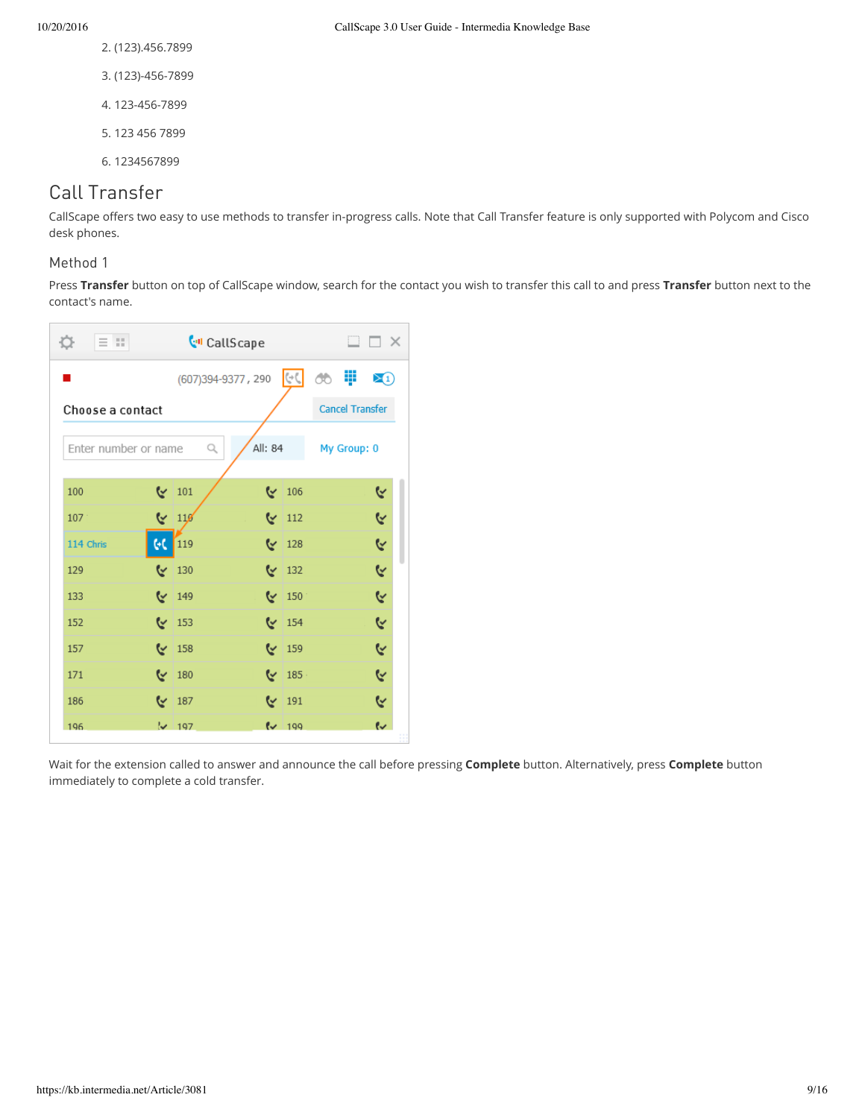- 10/20/2016 CallScape 3.0 User Guide Intermedia Knowledge Base
	- 2. (123).456.7899
	- 3. (123)-456-7899
	- 4. 123-456-7899
	- 5. 123 456 7899
	- 6. 1234567899

## Call Transfer

CallScape offers two easy to use methods to transfer in-progress calls. Note that Call Transfer feature is only supported with Polycom and Cisco desk phones.

#### Method 1

Press **Transfer** button on top of CallScape window, search for the contact you wish to transfer this call to and press **Transfer** button next to the contact's name.



Wait for the extension called to answer and announce the call before pressing **Complete** button. Alternatively, press **Complete** button immediately to complete a cold transfer.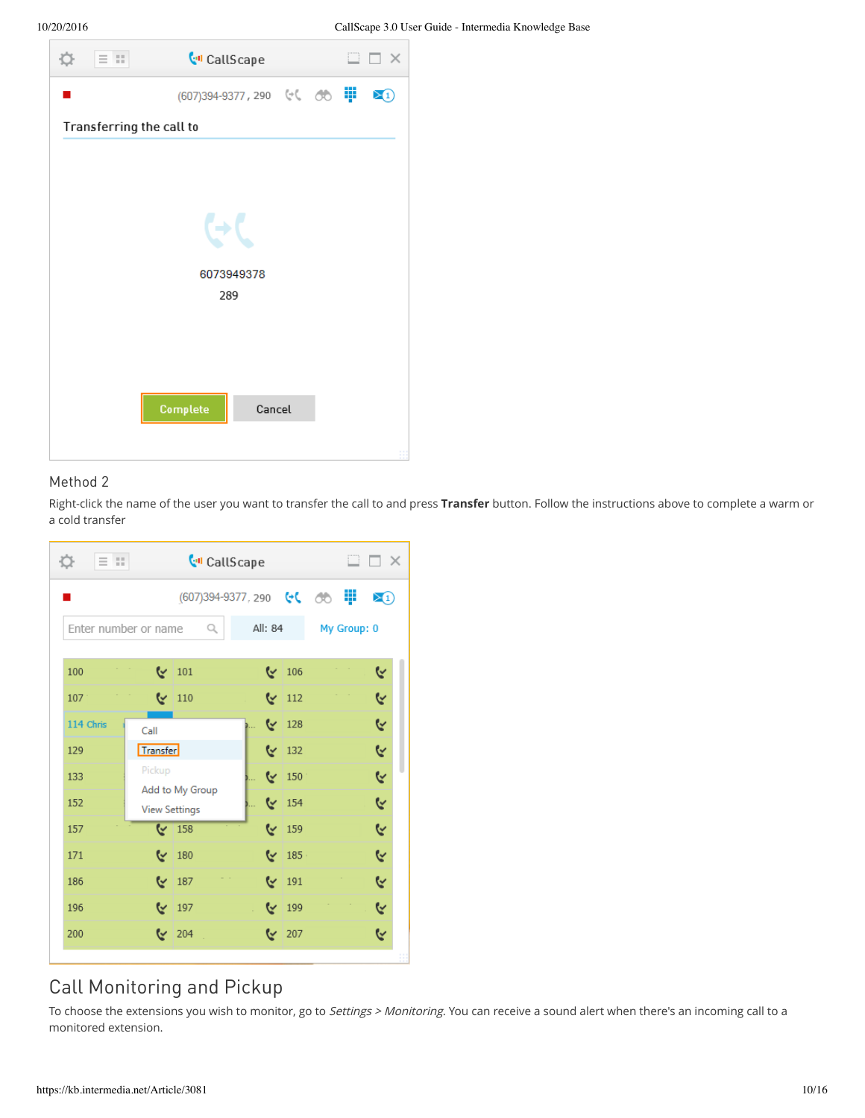| $\begin{array}{c} \n\mathbf{Q} \n\end{array} \n\quad \equiv \n\begin{array}{c} \n\mathbf{E} \n\end{array}$ | <b>CollScape</b> |        |  | m | $\times$ |
|------------------------------------------------------------------------------------------------------------|------------------|--------|--|---|----------|
|                                                                                                            |                  |        |  |   | ⊠⊕       |
| Transferring the call to                                                                                   |                  |        |  |   |          |
|                                                                                                            |                  |        |  |   |          |
|                                                                                                            |                  |        |  |   |          |
|                                                                                                            |                  |        |  |   |          |
|                                                                                                            | 6073949378       |        |  |   |          |
|                                                                                                            | 289              |        |  |   |          |
|                                                                                                            |                  |        |  |   |          |
|                                                                                                            |                  |        |  |   |          |
|                                                                                                            |                  |        |  |   |          |
|                                                                                                            | <b>Complete</b>  | Cancel |  |   |          |
|                                                                                                            |                  |        |  |   |          |

#### Method 2

Right-click the name of the user you want to transfer the call to and press **Transfer** button. Follow the instructions above to complete a warm or a cold transfer

| $\equiv$ 33<br><b>C</b> <sup>d</sup> CallScape<br>Đ. |                      |                          |  |         |                   |  |             | $\square$ $\square$ $\times$ |
|------------------------------------------------------|----------------------|--------------------------|--|---------|-------------------|--|-------------|------------------------------|
|                                                      |                      | (607)394-9377, 290 ↔ (○○ |  |         |                   |  |             | ⊠⊕                           |
| Enter number or name                                 |                      | Q                        |  | All: 84 |                   |  | My Group: 0 |                              |
| 100                                                  |                      | $\vee$ 101               |  |         | $\mathbb{V}$ 106  |  |             | ૯                            |
| 107                                                  |                      | $\leq$ 110               |  |         | $\vee$ 112        |  |             | Y                            |
| 114 Chris                                            | Call                 |                          |  |         | $\vee$ 128        |  |             | R                            |
| 129                                                  | Transfer             |                          |  |         | $\vee$ 132        |  |             | Y                            |
| 133                                                  | Pickup               |                          |  |         | $\sqrt{2}$ 150    |  |             | R                            |
| 152                                                  | <b>View Settings</b> | Add to My Group          |  |         | $\frac{154}{154}$ |  |             | R                            |
| 157                                                  |                      | $\sqrt{158}$             |  |         | $\sqrt{159}$      |  |             | G                            |
| 171                                                  |                      | $\sqrt{2}$ 180           |  |         | $\sqrt{2}$ 185    |  |             | Y                            |
| 186                                                  |                      | $\vee$ 187               |  |         | $\sqrt{2}$ 191    |  |             | r,                           |
| 196                                                  |                      | $\sqrt{197}$             |  |         | $\sim$ 199        |  |             | Y                            |
| 200                                                  |                      | $\approx$ 204            |  |         | ৻৵ 207            |  |             | ৻৴                           |
|                                                      |                      |                          |  |         |                   |  |             |                              |

## Call Monitoring and Pickup

To choose the extensions you wish to monitor, go to Settings > Monitoring. You can receive a sound alert when there's an incoming call to a monitored extension.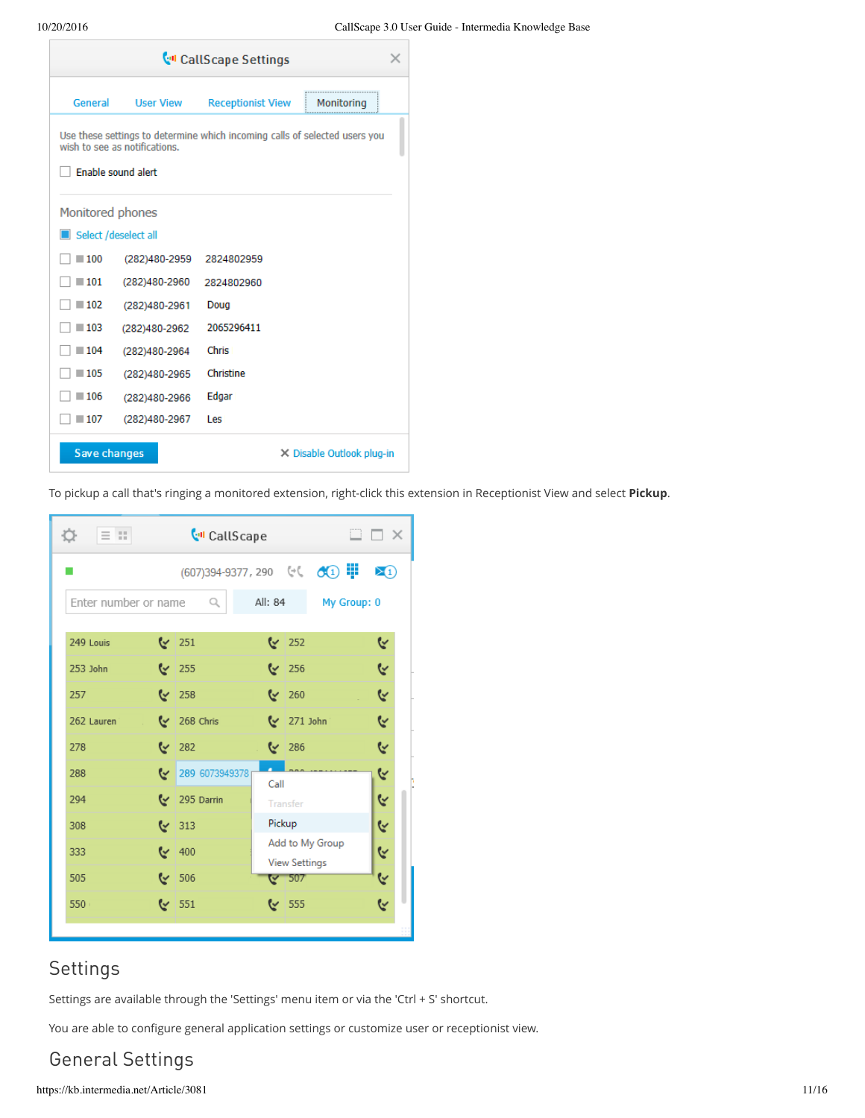| <b>Coll Scape Settings</b> |                                           |                          |                                                                            |  |  |  |  |  |
|----------------------------|-------------------------------------------|--------------------------|----------------------------------------------------------------------------|--|--|--|--|--|
| General                    | <b>User View</b>                          | <b>Receptionist View</b> | Monitoring                                                                 |  |  |  |  |  |
|                            | wish to see as notifications.             |                          | Use these settings to determine which incoming calls of selected users you |  |  |  |  |  |
|                            | Enable sound alert                        |                          |                                                                            |  |  |  |  |  |
| Monitored phones           |                                           |                          |                                                                            |  |  |  |  |  |
| Select /deselect all       |                                           |                          |                                                                            |  |  |  |  |  |
| $-100$                     | (282)480-2959                             | 2824802959               |                                                                            |  |  |  |  |  |
| $-101$                     | (282)480-2960                             | 2824802960               |                                                                            |  |  |  |  |  |
| $-102$                     | (282)480-2961                             | Doug                     |                                                                            |  |  |  |  |  |
| $-103$                     | (282)480-2962                             | 2065296411               |                                                                            |  |  |  |  |  |
| $-104$                     | (282)480-2964                             | <b>Chris</b>             |                                                                            |  |  |  |  |  |
| $-105$                     | (282)480-2965                             | Christine                |                                                                            |  |  |  |  |  |
| $-106$                     | (282)480-2966                             | Edgar                    |                                                                            |  |  |  |  |  |
| $-107$                     | (282)480-2967                             | Les                      |                                                                            |  |  |  |  |  |
|                            | Save changes<br>X Disable Outlook plug-in |                          |                                                                            |  |  |  |  |  |

To pickup a call that's ringing a monitored extension, right-click this extension in Receptionist View and select **Pickup**.

| $\Box \equiv \pi$<br>O.                             | <b>C</b> <sup>d</sup> CallScape                            |        | $\square$ $\square$ $\times$            |          |  |
|-----------------------------------------------------|------------------------------------------------------------|--------|-----------------------------------------|----------|--|
|                                                     | $(607)394-9377,290$ ( $($ $($ $($ $($ $($ $($ $)$ $\cdots$ |        |                                         | ∑⊕       |  |
| All: 84<br>Enter number or name<br>Q<br>My Group: 0 |                                                            |        |                                         |          |  |
| 249 Louis                                           | $\sim$ 251                                                 |        | $\frac{1}{252}$                         | <b>پ</b> |  |
| 253 John                                            | $\sim$ 255                                                 |        | $\sim$ 256                              | G        |  |
| 257                                                 | $\sim$ 258                                                 |        | $\sim$ 260                              | <b>پ</b> |  |
| 262 Lauren                                          | $\sim$ 268 Chris                                           |        | $\vee$ 271 John                         | R        |  |
| 278                                                 | $\sqrt{282}$                                               |        | $\sim$ 286                              | Y        |  |
| 288<br>∾                                            | 289 6073949378                                             | Call   |                                         | <b>پ</b> |  |
| 294                                                 | 295 Darrin                                                 |        | <b>Transfer</b>                         | ୯        |  |
| 308                                                 | $\sqrt{313}$                                               | Pickup |                                         | <b>پ</b> |  |
| 333                                                 | $\vee$ 400                                                 |        | Add to My Group<br><b>View Settings</b> | R        |  |
| 505                                                 | $\sim$ 506                                                 |        | ি 507                                   | <b>پ</b> |  |
| $550 +$                                             | $\sqrt{551}$                                               |        | $\sim$ 555                              | ૯        |  |

## Settings

Settings are available through the 'Settings' menu item or via the 'Ctrl + S' shortcut.

You are able to configure general application settings or customize user or receptionist view.

## General Settings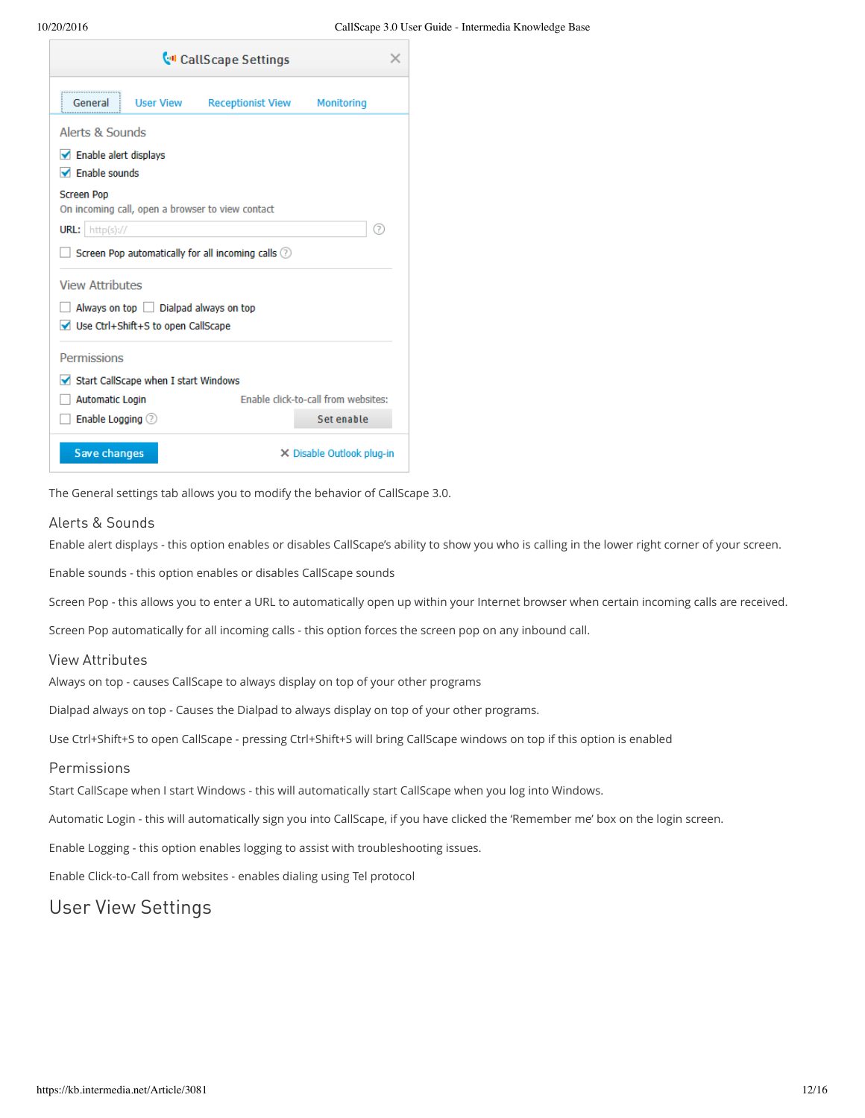

The General settings tab allows you to modify the behavior of CallScape 3.0.

#### Alerts & Sounds

Enable alert displays - this option enables or disables CallScape's ability to show you who is calling in the lower right corner of your screen.

Enable sounds - this option enables or disables CallScape sounds

Screen Pop - this allows you to enter a URL to automatically open up within your Internet browser when certain incoming calls are received.

Screen Pop automatically for all incoming calls - this option forces the screen pop on any inbound call.

#### View Attributes

Always on top - causes CallScape to always display on top of your other programs

Dialpad always on top - Causes the Dialpad to always display on top of your other programs.

Use Ctrl+Shift+S to open CallScape - pressing Ctrl+Shift+S will bring CallScape windows on top if this option is enabled

#### **Permissions**

Start CallScape when I start Windows - this will automatically start CallScape when you log into Windows.

Automatic Login - this will automatically sign you into CallScape, if you have clicked the 'Remember me' box on the login screen.

Enable Logging - this option enables logging to assist with troubleshooting issues.

Enable Click-to-Call from websites - enables dialing using Tel protocol

## User View Settings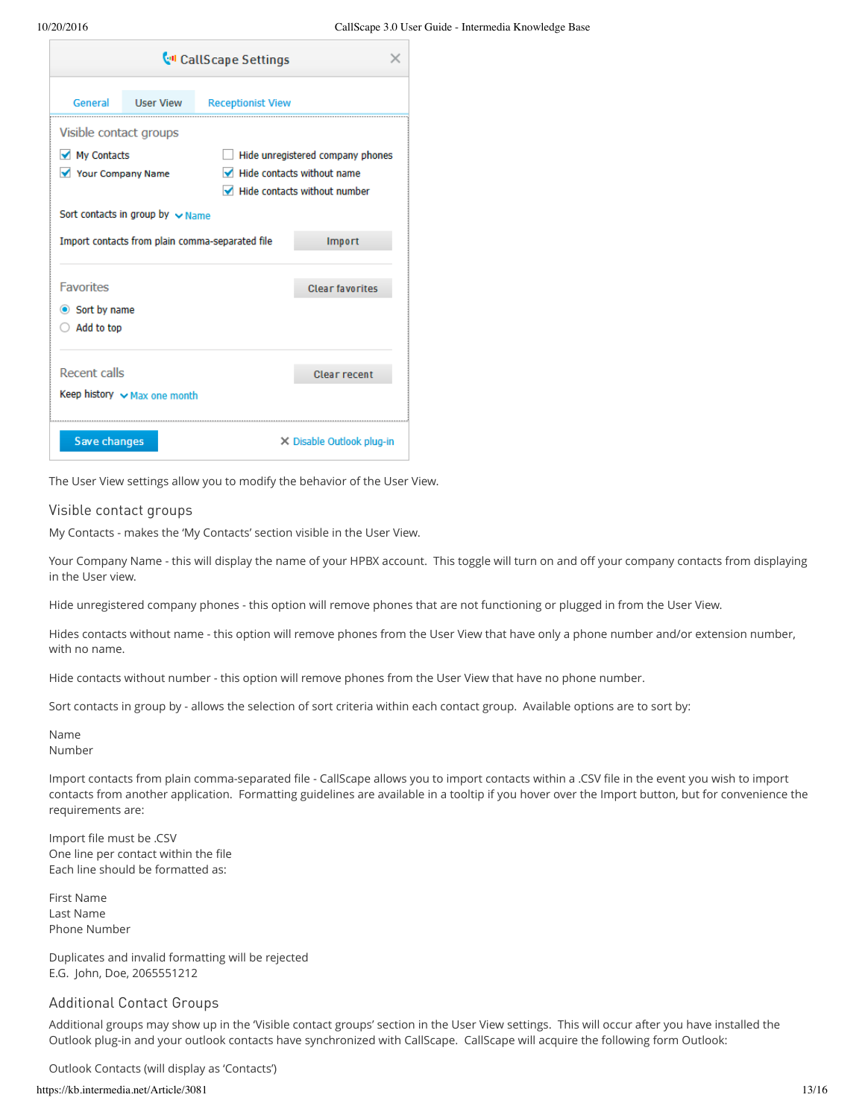| <b>Coll Scape Settings</b> |                                       |                                                 |                                           |  |  |  |
|----------------------------|---------------------------------------|-------------------------------------------------|-------------------------------------------|--|--|--|
| General                    | <b>User View</b>                      | <b>Receptionist View</b>                        |                                           |  |  |  |
| Visible contact groups     |                                       |                                                 |                                           |  |  |  |
| <b>◆</b> My Contacts       |                                       |                                                 | Hide unregistered company phones          |  |  |  |
| Your Company Name          |                                       |                                                 | $\blacksquare$ Hide contacts without name |  |  |  |
|                            |                                       |                                                 | Hide contacts without number              |  |  |  |
|                            | Sort contacts in group by $\vee$ Name |                                                 |                                           |  |  |  |
|                            |                                       | Import contacts from plain comma-separated file | Import                                    |  |  |  |
| <b>Favorites</b>           |                                       |                                                 | <b>Clear favorites</b>                    |  |  |  |
| <b>◎</b> Sort by name      |                                       |                                                 |                                           |  |  |  |
| Add to top                 |                                       |                                                 |                                           |  |  |  |
| <b>Recent calls</b>        |                                       |                                                 | <b>Clear recent</b>                       |  |  |  |
|                            | Keep history $\vee$ Max one month     |                                                 |                                           |  |  |  |
| Save changes               |                                       |                                                 | $\times$ Disable Outlook plug-in          |  |  |  |

The User View settings allow you to modify the behavior of the User View.

#### Visible contact groups

My Contacts - makes the 'My Contacts' section visible in the User View.

Your Company Name - this will display the name of your HPBX account. This toggle will turn on and off your company contacts from displaying in the User view.

Hide unregistered company phones - this option will remove phones that are not functioning or plugged in from the User View.

Hides contacts without name - this option will remove phones from the User View that have only a phone number and/or extension number, with no name.

Hide contacts without number - this option will remove phones from the User View that have no phone number.

Sort contacts in group by - allows the selection of sort criteria within each contact group. Available options are to sort by:

Name Number

Import contacts from plain comma-separated file - CallScape allows you to import contacts within a .CSV file in the event you wish to import contacts from another application. Formatting guidelines are available in a tooltip if you hover over the Import button, but for convenience the requirements are:

Import file must be .CSV One line per contact within the file Each line should be formatted as:

First Name Last Name Phone Number

Duplicates and invalid formatting will be rejected E.G. John, Doe, 2065551212

#### Additional Contact Groups

Additional groups may show up in the 'Visible contact groups' section in the User View settings. This will occur after you have installed the Outlook plug-in and your outlook contacts have synchronized with CallScape. CallScape will acquire the following form Outlook:

Outlook Contacts (will display as 'Contacts')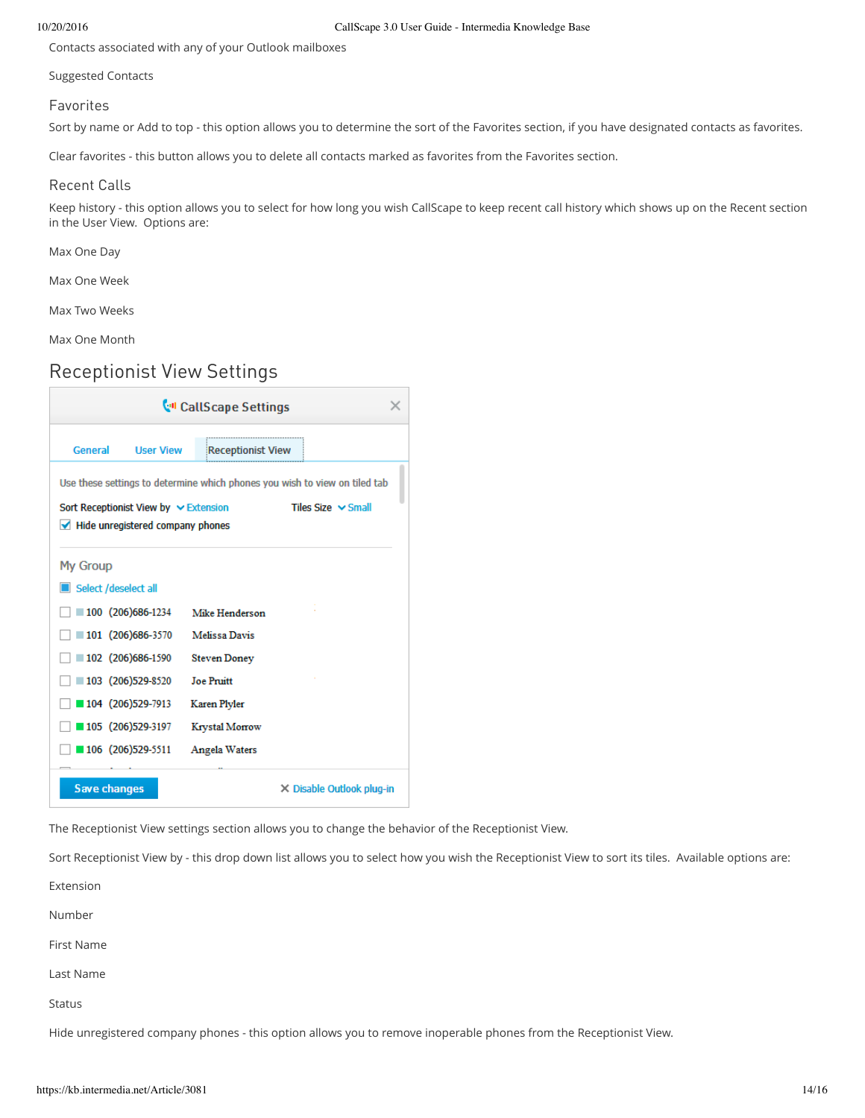Contacts associated with any of your Outlook mailboxes

Suggested Contacts

#### Favorites

Sort by name or Add to top - this option allows you to determine the sort of the Favorites section, if you have designated contacts as favorites.

Clear favorites - this button allows you to delete all contacts marked as favorites from the Favorites section.

#### Recent Calls

Keep history - this option allows you to select for how long you wish CallScape to keep recent call history which shows up on the Recent section in the User View. Options are:

Max One Day

Max One Week

Max Two Weeks

Max One Month

### Receptionist View Settings



The Receptionist View settings section allows you to change the behavior of the Receptionist View.

Sort Receptionist View by - this drop down list allows you to select how you wish the Receptionist View to sort its tiles. Available options are:

Extension Number First Name Last Name Status Hide unregistered company phones - this option allows you to remove inoperable phones from the Receptionist View.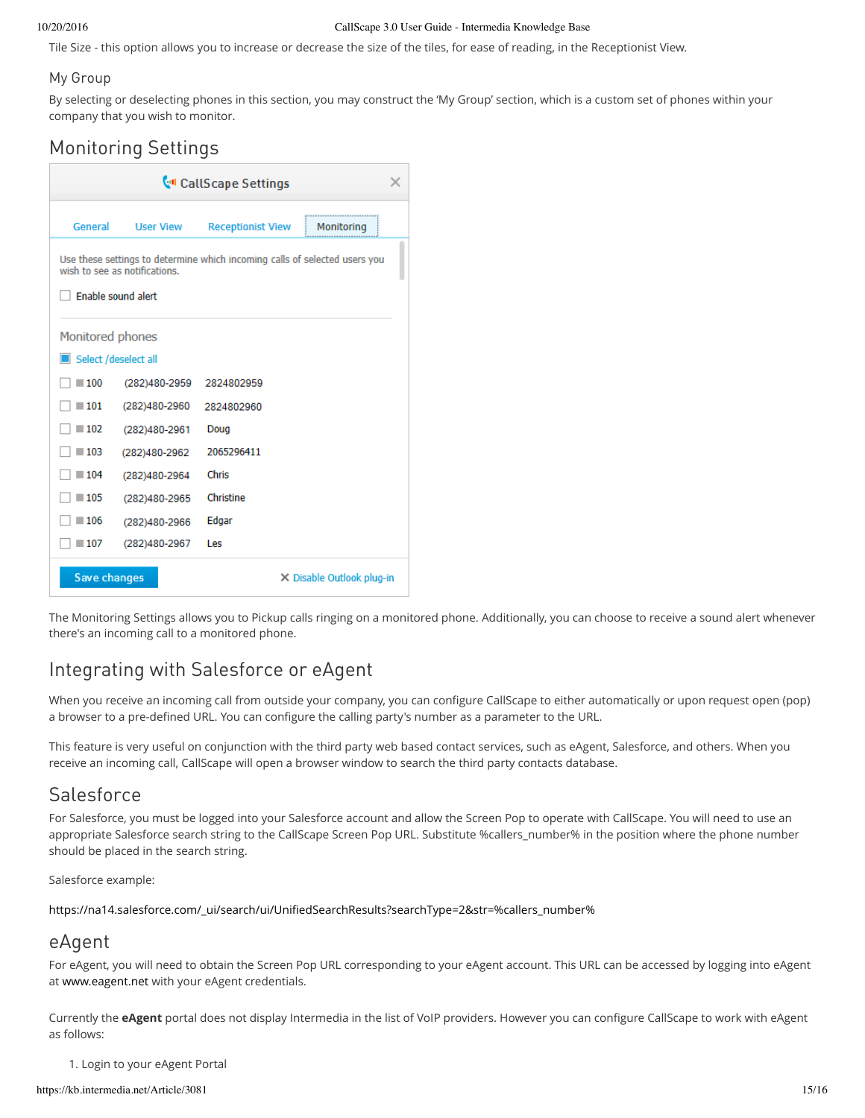#### 10/20/2016 CallScape 3.0 User Guide - Intermedia Knowledge Base

Tile Size - this option allows you to increase or decrease the size of the tiles, for ease of reading, in the Receptionist View.

#### My Group

By selecting or deselecting phones in this section, you may construct the 'My Group' section, which is a custom set of phones within your company that you wish to monitor.

## Monitoring Settings

| <b>CollScape Settings</b>                                                                                   |                  |                          |            |  |
|-------------------------------------------------------------------------------------------------------------|------------------|--------------------------|------------|--|
| General                                                                                                     | <b>User View</b> | <b>Receptionist View</b> | Monitoring |  |
| Use these settings to determine which incoming calls of selected users you<br>wish to see as notifications. |                  |                          |            |  |
| <b>Enable sound alert</b>                                                                                   |                  |                          |            |  |
| Monitored phones                                                                                            |                  |                          |            |  |
| Select /deselect all                                                                                        |                  |                          |            |  |
| $-100$                                                                                                      | (282)480-2959    | 2824802959               |            |  |
| $-101$                                                                                                      | (282)480-2960    | 2824802960               |            |  |
| $-102$                                                                                                      | (282)480-2961    | Doug                     |            |  |
| $-103$                                                                                                      | (282)480-2962    | 2065296411               |            |  |
| $-104$                                                                                                      | (282)480-2964    | <b>Chris</b>             |            |  |
| $-105$                                                                                                      | (282)480-2965    | Christine                |            |  |
| $-106$                                                                                                      | (282)480-2966    | Edgar                    |            |  |
| $-107$                                                                                                      | (282)480-2967    | Les                      |            |  |
| Save changes<br>$\times$ Disable Outlook plug-in                                                            |                  |                          |            |  |

The Monitoring Settings allows you to Pickup calls ringing on a monitored phone. Additionally, you can choose to receive a sound alert whenever there's an incoming call to a monitored phone.

## Integrating with Salesforce or eAgent

When you receive an incoming call from outside your company, you can configure CallScape to either automatically or upon request open (pop) a browser to a pre-defined URL. You can configure the calling party's number as a parameter to the URL.

This feature is very useful on conjunction with the third party web based contact services, such as eAgent, Salesforce, and others. When you receive an incoming call, CallScape will open a browser window to search the third party contacts database.

## Salesforce

For Salesforce, you must be logged into your Salesforce account and allow the Screen Pop to operate with CallScape. You will need to use an appropriate Salesforce search string to the CallScape Screen Pop URL. Substitute %callers number% in the position where the phone number should be placed in the search string.

Salesforce example:

[https://na14.salesforce.com/\\_ui/search/ui/UnifiedSearchResults?searchType=2&str=%callers\\_number%](https://na.14.salesforce.com/ui/search/ui/UnifiedSearchResults?searchType=2&str=%callers_number%25)

## eAgent

For eAgent, you will need to obtain the Screen Pop URL corresponding to your eAgent account. This URL can be accessed by logging into eAgent at [www.eagent.net](http://www.eagent.net/) with your eAgent credentials.

Currently the **eAgent** portal does not display Intermedia in the list of VoIP providers. However you can configure CallScape to work with eAgent as follows:

1. Login to your eAgent Portal